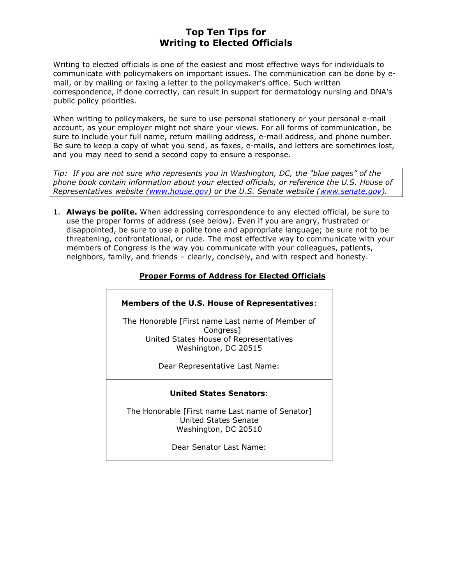# Top Ten Tips for Writing to Elected Officials

Writing to elected officials is one of the easiest and most effective ways for individuals to communicate with policymakers on important issues. The communication can be done by email, or by mailing or faxing a letter to the policymaker's office. Such written correspondence, if done correctly, can result in support for dermatology nursing and DNA's public policy priorities.

When writing to policymakers, be sure to use personal stationery or your personal e-mail account, as your employer might not share your views. For all forms of communication, be sure to include your full name, return mailing address, e-mail address, and phone number. Be sure to keep a copy of what you send, as faxes, e-mails, and letters are sometimes lost, and you may need to send a second copy to ensure a response.

Tip: If you are not sure who represents you in Washington, DC, the "blue pages" of the phone book contain information about your elected officials, or reference the U.S. House of Representatives website (www.house.gov) or the U.S. Senate website (www.senate.gov).

1. **Always be polite.** When addressing correspondence to any elected official, be sure to use the proper forms of address (see below). Even if you are angry, frustrated or disappointed, be sure to use a polite tone and appropriate language; be sure not to be threatening, confrontational, or rude. The most effective way to communicate with your members of Congress is the way you communicate with your colleagues, patients, neighbors, family, and friends – clearly, concisely, and with respect and honesty.

## Proper Forms of Address for Elected Officials

### Members of the U.S. House of Representatives:

The Honorable [First name Last name of Member of Congress] United States House of Representatives Washington, DC 20515

Dear Representative Last Name:

### United States Senators:

The Honorable [First name Last name of Senator] United States Senate Washington, DC 20510

Dear Senator Last Name: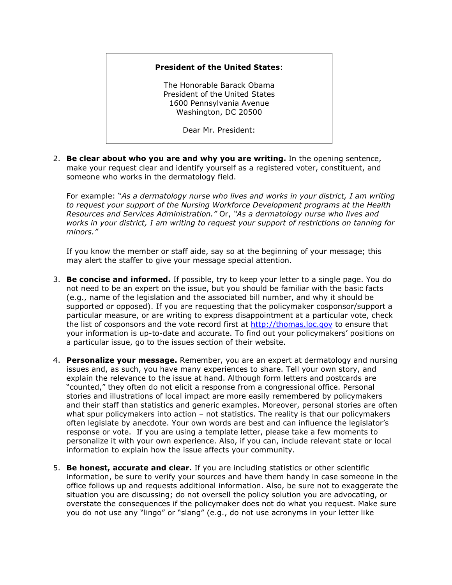#### President of the United States:

The Honorable Barack Obama President of the United States 1600 Pennsylvania Avenue Washington, DC 20500

Dear Mr. President:

2. Be clear about who you are and why you are writing. In the opening sentence, make your request clear and identify yourself as a registered voter, constituent, and someone who works in the dermatology field.

For example: "As a dermatology nurse who lives and works in your district, I am writing to request your support of the Nursing Workforce Development programs at the Health Resources and Services Administration." Or, "As a dermatology nurse who lives and works in your district, I am writing to request your support of restrictions on tanning for minors."

If you know the member or staff aide, say so at the beginning of your message; this may alert the staffer to give your message special attention.

- 3. Be concise and informed. If possible, try to keep your letter to a single page. You do not need to be an expert on the issue, but you should be familiar with the basic facts (e.g., name of the legislation and the associated bill number, and why it should be supported or opposed). If you are requesting that the policymaker cosponsor/support a particular measure, or are writing to express disappointment at a particular vote, check the list of cosponsors and the vote record first at http://thomas.loc.gov to ensure that your information is up-to-date and accurate. To find out your policymakers' positions on a particular issue, go to the issues section of their website.
- 4. Personalize your message. Remember, you are an expert at dermatology and nursing issues and, as such, you have many experiences to share. Tell your own story, and explain the relevance to the issue at hand. Although form letters and postcards are "counted," they often do not elicit a response from a congressional office. Personal stories and illustrations of local impact are more easily remembered by policymakers and their staff than statistics and generic examples. Moreover, personal stories are often what spur policymakers into action - not statistics. The reality is that our policymakers often legislate by anecdote. Your own words are best and can influence the legislator's response or vote. If you are using a template letter, please take a few moments to personalize it with your own experience. Also, if you can, include relevant state or local information to explain how the issue affects your community.
- 5. Be honest, accurate and clear. If you are including statistics or other scientific information, be sure to verify your sources and have them handy in case someone in the office follows up and requests additional information. Also, be sure not to exaggerate the situation you are discussing; do not oversell the policy solution you are advocating, or overstate the consequences if the policymaker does not do what you request. Make sure you do not use any "lingo" or "slang" (e.g., do not use acronyms in your letter like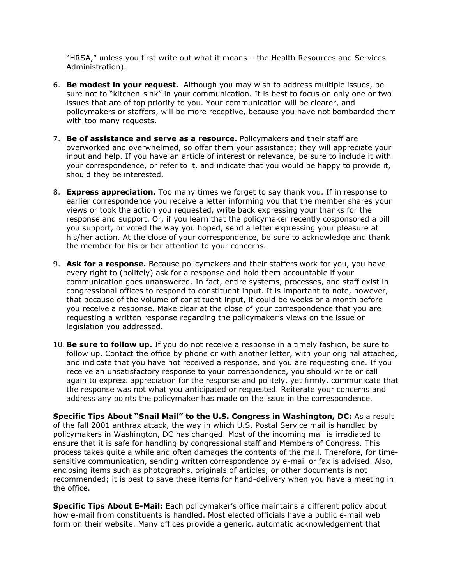"HRSA," unless you first write out what it means – the Health Resources and Services Administration).

- 6. Be modest in your request. Although you may wish to address multiple issues, be sure not to "kitchen-sink" in your communication. It is best to focus on only one or two issues that are of top priority to you. Your communication will be clearer, and policymakers or staffers, will be more receptive, because you have not bombarded them with too many requests.
- 7. Be of assistance and serve as a resource. Policymakers and their staff are overworked and overwhelmed, so offer them your assistance; they will appreciate your input and help. If you have an article of interest or relevance, be sure to include it with your correspondence, or refer to it, and indicate that you would be happy to provide it, should they be interested.
- 8. **Express appreciation.** Too many times we forget to say thank you. If in response to earlier correspondence you receive a letter informing you that the member shares your views or took the action you requested, write back expressing your thanks for the response and support. Or, if you learn that the policymaker recently cosponsored a bill you support, or voted the way you hoped, send a letter expressing your pleasure at his/her action. At the close of your correspondence, be sure to acknowledge and thank the member for his or her attention to your concerns.
- 9. Ask for a response. Because policymakers and their staffers work for you, you have every right to (politely) ask for a response and hold them accountable if your communication goes unanswered. In fact, entire systems, processes, and staff exist in congressional offices to respond to constituent input. It is important to note, however, that because of the volume of constituent input, it could be weeks or a month before you receive a response. Make clear at the close of your correspondence that you are requesting a written response regarding the policymaker's views on the issue or legislation you addressed.
- 10. Be sure to follow up. If you do not receive a response in a timely fashion, be sure to follow up. Contact the office by phone or with another letter, with your original attached, and indicate that you have not received a response, and you are requesting one. If you receive an unsatisfactory response to your correspondence, you should write or call again to express appreciation for the response and politely, yet firmly, communicate that the response was not what you anticipated or requested. Reiterate your concerns and address any points the policymaker has made on the issue in the correspondence.

Specific Tips About "Snail Mail" to the U.S. Congress in Washington, DC: As a result of the fall 2001 anthrax attack, the way in which U.S. Postal Service mail is handled by policymakers in Washington, DC has changed. Most of the incoming mail is irradiated to ensure that it is safe for handling by congressional staff and Members of Congress. This process takes quite a while and often damages the contents of the mail. Therefore, for timesensitive communication, sending written correspondence by e-mail or fax is advised. Also, enclosing items such as photographs, originals of articles, or other documents is not recommended; it is best to save these items for hand-delivery when you have a meeting in the office.

Specific Tips About E-Mail: Each policymaker's office maintains a different policy about how e-mail from constituents is handled. Most elected officials have a public e-mail web form on their website. Many offices provide a generic, automatic acknowledgement that